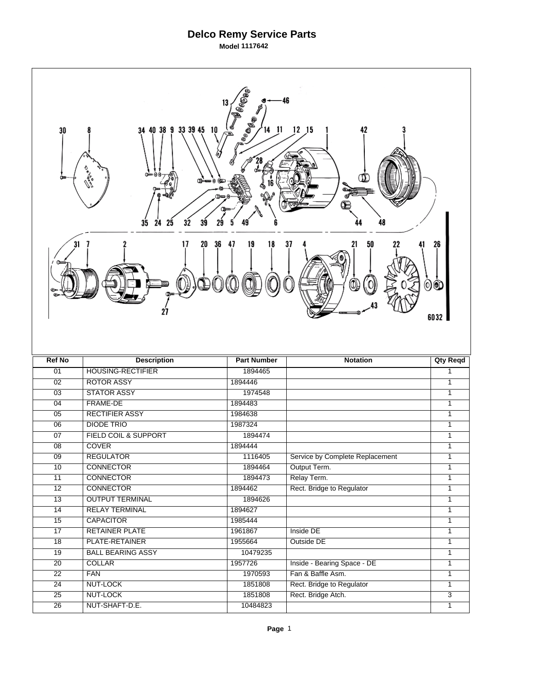## **Delco Remy Service Parts**

**Model 1117642**

| Beege<br>46<br>13<br><b>INDERICATION</b><br>40 38 9 33 39 45 10<br>$12$ $15$<br>42<br>14 11<br>30<br>34<br>w<br>00≔աա∍0<br>⅏<br>32<br>35<br>24<br>25<br>39<br>48<br>29 |                                  |                    |                                 |                 |  |  |  |
|------------------------------------------------------------------------------------------------------------------------------------------------------------------------|----------------------------------|--------------------|---------------------------------|-----------------|--|--|--|
| 36<br>47<br>31<br>17<br>20<br>19<br>18<br>37<br>50<br>21<br>26<br>00<br>6032                                                                                           |                                  |                    |                                 |                 |  |  |  |
|                                                                                                                                                                        |                                  |                    |                                 |                 |  |  |  |
| <b>Ref No</b>                                                                                                                                                          | <b>Description</b>               | <b>Part Number</b> | <b>Notation</b>                 | <b>Qty Reqd</b> |  |  |  |
| 01                                                                                                                                                                     | <b>HOUSING-RECTIFIER</b>         | 1894465            |                                 | 1               |  |  |  |
| 02                                                                                                                                                                     | <b>ROTOR ASSY</b>                | 1894446            |                                 | $\overline{1}$  |  |  |  |
| $\overline{03}$                                                                                                                                                        | <b>STATOR ASSY</b>               | 1974548            |                                 | $\mathbf{1}$    |  |  |  |
| 04                                                                                                                                                                     | <b>FRAME-DE</b>                  | 1894483            |                                 | 1               |  |  |  |
| 05                                                                                                                                                                     | <b>RECTIFIER ASSY</b>            | 1984638            |                                 | $\mathbf{1}$    |  |  |  |
| $\overline{06}$                                                                                                                                                        | <b>DIODE TRIO</b>                | 1987324            |                                 | 1<br>1          |  |  |  |
| $\overline{07}$<br>08                                                                                                                                                  | <b>FIELD COIL &amp; SUPPORT</b>  | 1894474            |                                 | 1               |  |  |  |
| $\overline{09}$                                                                                                                                                        | <b>COVER</b><br><b>REGULATOR</b> | 1894444<br>1116405 | Service by Complete Replacement | 1               |  |  |  |
| 10                                                                                                                                                                     | <b>CONNECTOR</b>                 | 1894464            | Output Term.                    | 1               |  |  |  |
| 11                                                                                                                                                                     | <b>CONNECTOR</b>                 | 1894473            | Relay Term.                     | 1               |  |  |  |
| $\overline{12}$                                                                                                                                                        | <b>CONNECTOR</b>                 | 1894462            | Rect. Bridge to Regulator       | $\mathbf{1}$    |  |  |  |
| $\overline{13}$                                                                                                                                                        | <b>OUTPUT TERMINAL</b>           | 1894626            |                                 | $\mathbf{1}$    |  |  |  |
| 14                                                                                                                                                                     | <b>RELAY TERMINAL</b>            | 1894627            |                                 | $\overline{1}$  |  |  |  |
| $\overline{15}$                                                                                                                                                        | <b>CAPACITOR</b>                 | 1985444            |                                 | $\overline{1}$  |  |  |  |
| $\overline{17}$                                                                                                                                                        | <b>RETAINER PLATE</b>            | 1961867            | Inside DE                       | $\mathbf{1}$    |  |  |  |
| $\overline{18}$                                                                                                                                                        | PLATE-RETAINER                   | 1955664            | Outside DE                      | $\mathbf{1}$    |  |  |  |
| $\overline{19}$                                                                                                                                                        | <b>BALL BEARING ASSY</b>         | 10479235           |                                 | $\mathbf{1}$    |  |  |  |
| $\overline{20}$                                                                                                                                                        | <b>COLLAR</b>                    | 1957726            | Inside - Bearing Space - DE     | $\mathbf{1}$    |  |  |  |
| $\overline{22}$                                                                                                                                                        | <b>FAN</b>                       | 1970593            | Fan & Baffle Asm.               | $\mathbf{1}$    |  |  |  |
| $\overline{24}$                                                                                                                                                        | <b>NUT-LOCK</b>                  | 1851808            | Rect. Bridge to Regulator       | $\mathbf{1}$    |  |  |  |
| 25                                                                                                                                                                     | NUT-LOCK                         | 1851808            | Rect. Bridge Atch.              | $\overline{3}$  |  |  |  |